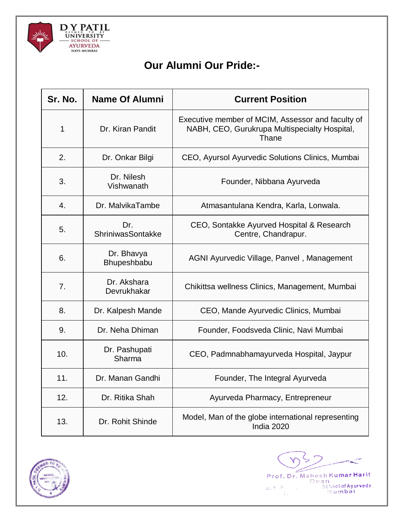

## **Our Alumni Our Pride:-**

| Sr. No. | <b>Name Of Alumni</b>      | <b>Current Position</b>                                                                                     |
|---------|----------------------------|-------------------------------------------------------------------------------------------------------------|
| 1       | Dr. Kiran Pandit           | Executive member of MCIM, Assessor and faculty of<br>NABH, CEO, Gurukrupa Multispecialty Hospital,<br>Thane |
| 2.      | Dr. Onkar Bilgi            | CEO, Ayursol Ayurvedic Solutions Clinics, Mumbai                                                            |
| 3.      | Dr. Nilesh<br>Vishwanath   | Founder, Nibbana Ayurveda                                                                                   |
| 4.      | Dr. MalvikaTambe           | Atmasantulana Kendra, Karla, Lonwala.                                                                       |
| 5.      | Dr.<br>ShriniwasSontakke   | CEO, Sontakke Ayurved Hospital & Research<br>Centre, Chandrapur.                                            |
| 6.      | Dr. Bhavya<br>Bhupeshbabu  | AGNI Ayurvedic Village, Panvel, Management                                                                  |
| 7.      | Dr. Akshara<br>Devrukhakar | Chikittsa wellness Clinics, Management, Mumbai                                                              |
| 8.      | Dr. Kalpesh Mande          | CEO, Mande Ayurvedic Clinics, Mumbai                                                                        |
| 9.      | Dr. Neha Dhiman            | Founder, Foodsveda Clinic, Navi Mumbai                                                                      |
| 10.     | Dr. Pashupati<br>Sharma    | CEO, Padmnabhamayurveda Hospital, Jaypur                                                                    |
| 11.     | Dr. Manan Gandhi           | Founder, The Integral Ayurveda                                                                              |
| 12.     | Dr. Ritika Shah            | Ayurveda Pharmacy, Entrepreneur                                                                             |
| 13.     | Dr. Rohit Shinde           | Model, Man of the globe international representing<br>India 2020                                            |



Z Prof. Dr. Mahesh Kumar Harit<br>Dean<br>Behoolof Ayurveda<br>Sumbai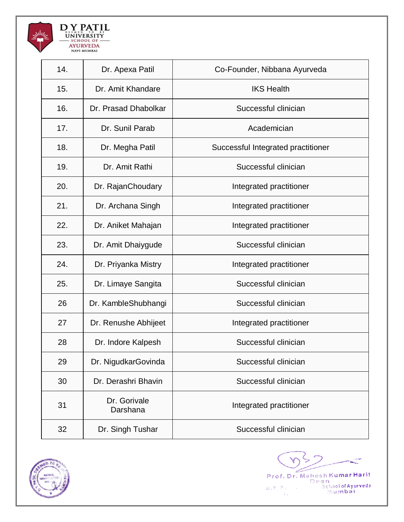

| 14. | Dr. Apexa Patil          | Co-Founder, Nibbana Ayurveda       |
|-----|--------------------------|------------------------------------|
| 15. | Dr. Amit Khandare        | <b>IKS Health</b>                  |
| 16. | Dr. Prasad Dhabolkar     | Successful clinician               |
| 17. | Dr. Sunil Parab          | Academician                        |
| 18. | Dr. Megha Patil          | Successful Integrated practitioner |
| 19. | Dr. Amit Rathi           | Successful clinician               |
| 20. | Dr. RajanChoudary        | Integrated practitioner            |
| 21. | Dr. Archana Singh        | Integrated practitioner            |
| 22. | Dr. Aniket Mahajan       | Integrated practitioner            |
| 23. | Dr. Amit Dhaiygude       | Successful clinician               |
| 24. | Dr. Priyanka Mistry      | Integrated practitioner            |
| 25. | Dr. Limaye Sangita       | Successful clinician               |
| 26  | Dr. KambleShubhangi      | Successful clinician               |
| 27  | Dr. Renushe Abhijeet     | Integrated practitioner            |
| 28  | Dr. Indore Kalpesh       | Successful clinician               |
| 29  | Dr. NigudkarGovinda      | Successful clinician               |
| 30  | Dr. Derashri Bhavin      | Successful clinician               |
| 31  | Dr. Gorivale<br>Darshana | Integrated practitioner            |
| 32  | Dr. Singh Tushar         | Successful clinician               |



Y Prof. Dr. Mahesh Kumar Harit<br>Dean<br>Schoolof Ayurveda<br>Limbai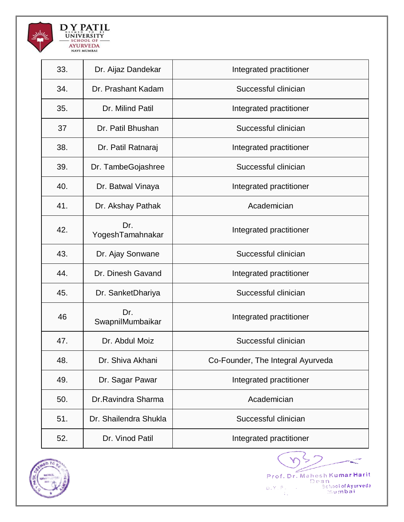

| 33. | Dr. Aijaz Dandekar      | Integrated practitioner           |
|-----|-------------------------|-----------------------------------|
| 34. | Dr. Prashant Kadam      | Successful clinician              |
| 35. | Dr. Milind Patil        | Integrated practitioner           |
| 37  | Dr. Patil Bhushan       | Successful clinician              |
| 38. | Dr. Patil Ratnaraj      | Integrated practitioner           |
| 39. | Dr. TambeGojashree      | Successful clinician              |
| 40. | Dr. Batwal Vinaya       | Integrated practitioner           |
| 41. | Dr. Akshay Pathak       | Academician                       |
| 42. | Dr.<br>YogeshTamahnakar | Integrated practitioner           |
| 43. | Dr. Ajay Sonwane        | Successful clinician              |
| 44. | Dr. Dinesh Gavand       | Integrated practitioner           |
| 45. | Dr. SanketDhariya       | Successful clinician              |
| 46  | Dr.<br>SwapnilMumbaikar | Integrated practitioner           |
| 47. | Dr. Abdul Moiz          | Successful clinician              |
| 48. | Dr. Shiva Akhani        | Co-Founder, The Integral Ayurveda |
| 49. | Dr. Sagar Pawar         | Integrated practitioner           |
| 50. | Dr.Ravindra Sharma      | Academician                       |
| 51. | Dr. Shailendra Shukla   | Successful clinician              |
| 52. | Dr. Vinod Patil         | Integrated practitioner           |



Y Prof. Dr. Mahesh Kumar Harit<br>Dean<br>Schoolof Ayurveda<br>Limbai